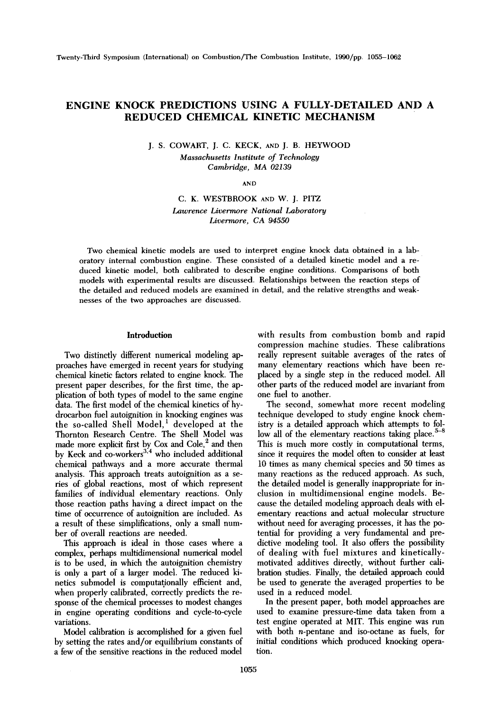# **ENGINE KNOCK PREDICTIONS USING A FULLY-DETAILED AND A REDUCED CHEMICAL KINETIC MECHANISM**

J. S. COWART, J. C. KECK, AND J. B. HEYWOOD *Massachusetts Institute of Technology Cambridge, MA 02139* 

AND

C. K. WESTBROOK AND W. J. PITZ *Lawrence Livermore National Laboratory Livermore, CA 94550* 

Two chemical kinetic models are used to interpret engine knock data obtained in a laboratory internal combustion engine. These consisted of a detailed kinetic model and a reduced kinetic model, both calibrated to describe engine conditions. Comparisons of both models with experimental results are discussed. Relationships between the reaction steps of the detailed and reduced models are examined in detail, and the relative strengths and weaknesses of the two approaches are discussed.

#### **Introduction**

Two distinctly different numerical modeling approaches have emerged in recent years for studying chemical kinetic factors related to engine knock. The present paper describes, for the first time, the application of both types of model to the same engine data. The first model of the chemical kinetics of hydrocarbon fuel autoignition in knocking engines was the so-called Shell Model, $<sup>1</sup>$  developed at the</sup> Thornton Research Centre. The Shell Model was made more explicit first by Cox and Cole, $\degree$  and then by Keck and co-workers<sup>3,4</sup> who included additional chemical pathways and a more accurate thermal analysis. This approach treats autoignition as a series of global reactions, most of which represent families of individual elementary reactions. Only those reaction paths having a direct impact on the time of occurrence of autoignition are included. As a result of these simplifications, only a small number of overall reactions are needed.

This approach is ideal in those cases where a complex, perhaps multidimensional numerical model is to be used, in which the autoignition chemistry is only a part of a larger model. The reduced kinetics submodel is computationally efficient and, when properly calibrated, correctly predicts the response of the chemical processes to modest changes in engine operating conditions and cycle-to-cycle variations.

Model calibration is accomplished for a given fuel by setting the rates and/or equilibrium constants of a few of the sensitive reactions in the reduced model

with results from combustion bomb and rapid compression machine studies. These calibrations really represent suitable averages of the rates of many elementary reactions which have been replaced by a single step in the reduced model. All other parts of the reduced model are invariant from one fuel to another.

The second, somewhat more recent modeling technique developed to study engine knock chemistry is a detailed approach which attempts to follow all of the elementary reactions taking place.<sup>5-8</sup> This is much more costly in computational terms, since it requires the model often to consider at least 10 times as many chemical species and 50 times as many reactions as the reduced approach. As such, the detailed model is generally inappropriate for inclusion in multidimensional engine models. Because the detailed modeling approach deals with elementary reactions and actual molecular structure without need for averaging processes, it has the potential for providing a very fundamental and predictive modeling tool. It also offers the possibility of dealing with fuel mixtures and kineticallymotivated additives directly, without further calibration studies. Finally, the detailed approach could be used to generate the averaged properties to be used in a reduced model.

In the present paper, both model approaches are used to examine pressure-time data taken from a test engine operated at MIT. This engine was run with both n-pentane and iso-octane as fuels, for initial conditions which produced knocking operation.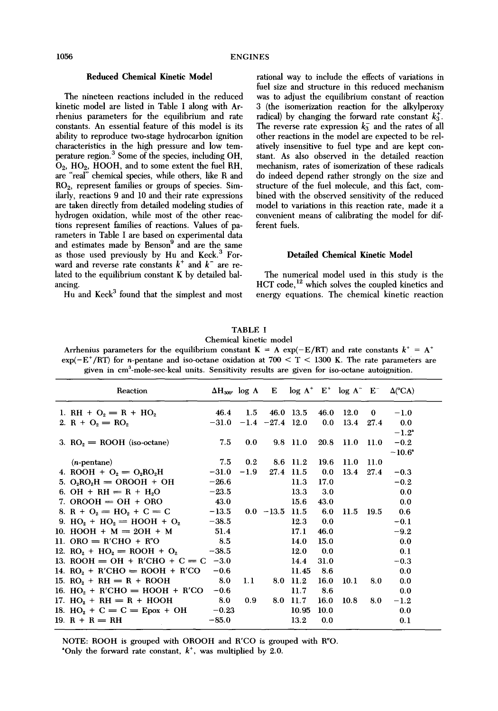## **Reduced Chemical** Kinetic Model

The nineteen reactions included in the reduced kinetic model are listed in Table I along with Arrhenius parameters for the equilibrium and rate constants. An essential feature of this model is its ability to reproduce two-stage hydrocarbon ignition characteristics in the high pressure and low temperature region. 3 Some of the species, including OH, Oz, HO2, HOOH, and to some extent the fuel RH, are "real" chemical species, while others, like R and RO2, represent families or groups of species. Similarly, reactions 9 and 10 and their rate expressions are taken directly from detailed modeling studies of hydrogen oxidation, while most of the other reactions represent families of reactions. Values of parameters in Table I are based on experimental data and estimates made by Benson<sup>9</sup> and are the same as those used previously by Hu and Keck.<sup>3</sup> Forward and reverse rate constants  $k^+$  and  $k^-$  are related to the equilibrium constant K by detailed balancing.

 $\overline{H}$ u and Keck<sup>3</sup> found that the simplest and most

rational way to include the effects of variations in fuel size and structure in this reduced mechanism was to adjust the equilibrium constant of reaction 3 (the isomerization reaction for the alkylperoxy radical) by changing the forward rate constant  $k_3^*$ . The reverse rate expression  $k_3^-$  and the rates of all other reactions in the model are expected to be relatively insensitive to fuel type and are kept constant. As also observed in the detailed reaction mechanism, rates of isomerization of these radicals do indeed depend rather strongly on the size and structure of the fuel molecule, and this fact, combined with the observed sensitivity of the reduced model to variations in this reaction rate, made it a convenient means of calibrating the model for different fuels.

## **Detailed** Chemical Kinetic **Model**

The numerical model used in this study is the HCT code,<sup>12</sup> which solves the coupled kinetics and energy equations. The chemical kinetic reaction

| <b>TABLE I</b>                                                                                                    |
|-------------------------------------------------------------------------------------------------------------------|
| Chemical kinetic model                                                                                            |
| Arrhenius parameters for the equilibrium constant $K = A \exp(-E/RT)$ and rate constants $k^+ = A^+$              |
| $\exp(-E^+/RT)$ for <i>n</i> -pentane and iso-octane oxidation at 700 $\lt T \lt 1300$ K. The rate parameters are |
| given in cm <sup>3</sup> -mole-sec-kcal units. Sensitivity results are given for iso-octane autoignition.         |

| <b>Reaction</b>                  |                             |                  |                  |            |           |                |          | $\Delta H_{300^{\circ}}$ log A E log A <sup>+</sup> E <sup>+</sup> log A <sup>-</sup> E <sup>-</sup> $\Delta$ (°CA) |
|----------------------------------|-----------------------------|------------------|------------------|------------|-----------|----------------|----------|---------------------------------------------------------------------------------------------------------------------|
| 1. RH + $O_2 = R + HO_2$         | 46.4                        | 1.5              |                  | 46.0 13.5  |           | 46.0 12.0      | $\bf{0}$ | $-1.0$                                                                                                              |
| 2. $R + Q_2 = RQ_2$              | $-31.0$ $-1.4$ $-27.4$ 12.0 |                  |                  |            | 0.0       | 13.4 27.4      |          | 0.0                                                                                                                 |
|                                  |                             |                  |                  |            |           |                |          | $-1.2^*$                                                                                                            |
| 3. $RO2 = ROOH$ (iso-octane)     | 7.5                         | 0.0              |                  | $9.8$ 11.0 |           | 20.8 11.0 11.0 |          | $-0.2$                                                                                                              |
|                                  |                             |                  |                  |            |           |                |          | $-10.6^{\circ}$                                                                                                     |
| $(n$ -pentane $)$                | 7.5                         | 0.2 <sub>1</sub> |                  | 8.6 11.2   | 19.6      | 11.0           | 11.0     |                                                                                                                     |
| 4. ROOH + $O_2 = O_2RO_2H$       | $-31.0$                     | $-1.9$           |                  | 27.4 11.5  | 0.0       | 13.4           | 27.4     | $-0.3$                                                                                                              |
| 5. $O_3RO_3H = OROOH + OH$       | $-26.6$                     |                  |                  | 11.3       | 17.0      |                |          | $-0.2$                                                                                                              |
| 6. OH + RH = $R + H2O$           | $-23.5$                     |                  |                  | 13.3       | 3.0       |                |          | 0.0                                                                                                                 |
| 7. OROOH $=$ OH $+$ ORO          | 43.0                        |                  |                  | 15.6       | 43.0      |                |          | 0.0                                                                                                                 |
| 8. $R + Q_2 = HO_2 + C = C$      | $-13.5$                     |                  | $0.0 -13.5$ 11.5 |            | 6.0       | 11.5           | 19.5     | 0.6                                                                                                                 |
| 9. $HO_2 + HO_2 = HOOH + O_2$    | $-38.5$                     |                  |                  | 12.3       | $\bf 0.0$ |                |          | $-0.1$                                                                                                              |
| 10. HOOH + $M = 2OH + M$         | 51.4                        |                  |                  | 17.1       | 46.0      |                |          | $-9.2$                                                                                                              |
| 11. ORO $=$ R'CHO + R"O          | 8.5                         |                  |                  | 14.0       | 15.0      |                |          | 0.0                                                                                                                 |
| 12. $RO_2 + HO_2 = ROOH + O_2$   | $-38.5$                     |                  |                  | 12.0       | 0.0       |                |          | 0.1                                                                                                                 |
| 13. ROOH = OH + R'CHO + C = C    | $-3.0$                      |                  |                  | 14.4       | 31.0      |                |          | $-0.3$                                                                                                              |
| 14. $RO2 + R'CHO = ROOH + R'CO$  | $-0.6$                      |                  |                  | 11.45      | - 8.6     |                |          | 0.0                                                                                                                 |
| 15. $RO_2 + RH = R + ROOH$       | 8.0                         | 1.1              |                  | 8.0 11.2   | 16.0      | 10.1           | 8.0      | 0.0                                                                                                                 |
| 16. $HO_2 + R'CHO = HOOH + R'CO$ | $-0.6$                      |                  |                  | 11.7       | 8.6       |                |          | 0.0                                                                                                                 |
| 17. $HO_2 + RH = R + HOOH$       | 8.0                         | 0.9              |                  | 8.0 11.7   | 16.0      | 10.8           | 8.0      | $^{-1.2}$                                                                                                           |
| 18. $HO_2 + C = C = E$ pox + OH  | $-0.23$                     |                  |                  | 10.95      | 10.0      |                |          | 0.0                                                                                                                 |
| 19. $R + R = RH$                 | $-85.0$                     |                  |                  | 13.2       | 0.0       |                |          | 0.1                                                                                                                 |

NOTE: ROOH is grouped with OROOH and R'CO is grouped with R"O. "Only the forward rate constant,  $k^*$ , was multiplied by 2.0.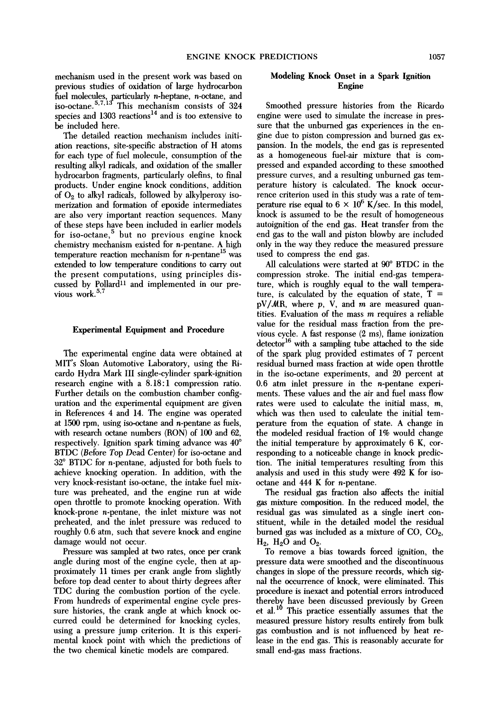mechanism used in the present work was based on previous studies of oxidation of large hydrocarbon fuel molecules, particularly n-heptane, n-octane, and iso-octane.<sup>5,7,15</sup> This mechanism consists of  $324$ species and  $1303$  reactions<sup>14</sup> and is too extensive to be included here.

The detailed reaction mechanism includes initiation reactions, site-specific abstraction of H atoms for each type of fuel molecule, consumption of the resulting alkyl radicals, and oxidation of the smaller hydrocarbon fragments, particularly olefins, to final products. Under engine knock conditions, addition of  $O<sub>2</sub>$  to alkyl radicals, followed by alkylperoxy isomerization and formation of epoxide intermediates are also very important reaction sequences. Many of these steps have been included in earlier models for iso-octane, $5$  but no previous engine knock chemistry mechanism existed for n-pentane. A high temperature reaction mechanism for  $n$ -pentane<sup>15</sup> was extended to low temperature conditions to carry out the present computations, using principles discussed by Pollard<sup>11</sup> and implemented in our previous work.<sup>5,7</sup>

### **Experimental Equipment and Procedure**

The experimental engine data were obtained at MIT's Sloan Automotive Laboratory, using the Ricardo Hydra Mark III single-cylinder spark-ignition research engine with a 8.18:1 compression ratio. Further details on the combustion chamber configuration and the experimental equipment are given in References 4 and 14. The engine was operated at  $1500$  rpm, using iso-octane and *n*-pentane as fuels, with research octane numbers (RON) of 100 and 62, respectively. Ignition spark timing advance was 40° BTDC (Before Top Dead Center) for iso-octane and  $32^{\circ}$  BTDC for *n*-pentane, adjusted for both fuels to achieve knocking operation. In addition, with the very knock-resistant iso-octane, the intake fuel mixture was preheated, and the engine run at wide open throttle to promote knocking operation. With knock-prone n-pentane, the inlet mixture was not preheated, and the inlet pressure was reduced to roughly 0.6 atm, such that severe knock and engine damage would not occur.

Pressure was sampled at two rates, once per crank angle during most of the engine cycle, then at approximately I1 times per crank angle from slightly before top dead center to about thirty degrees after TDC during the combustion portion of the cycle. From hundreds of experimental engine cycle pressure histories, the crank angle at which knock occurred could be determined for knocking cycles, using a pressure jump criterion. It is this experimental knock point with which the predictions of **the** two chemical kinetic models are compared.

## Modeling **Knock Onset** in a Spark Ignition Engine

Smoothed pressure histories from the Ricardo engine were used to simulate the increase in pressure that the unburned gas experiences in the engine due to piston compression and burned gas expansion. In the models, the end gas is represented as a homogeneous fuel-air mixture that is compressed and expanded according to these smoothed pressure curves, and a resulting unburned gas temperature history is calculated. The knock occurrence criterion used in this study was a rate of temperature rise equal to  $6 \times 10^6$  K/sec. In this model, knock is assumed to be the result of homogeneous autoignition of the end gas. Heat transfer from the end gas to the wall and piston blowby are included only in the way they reduce the measured pressure used to compress the end gas.

All calculations were started at  $90^{\circ}$  BTDC in the compression stroke. The initial end-gas temperature, which is roughly equal to the wall temperature, is calculated by the equation of state,  $T =$  $pV/MR$ , where p, V, and m are measured quantities. Evaluation of the mass  $m$  requires a reliable value for the residual mass fraction from the previous cycle. A fast response (2 ms), flame ionization  $\rm{detector}^{16}$  with a sampling tube attached to the side of the spark plug provided estimates of 7 percent residual burned mass fraction at wide open throttle in the iso-octane experiments, and 20 percent at 0.6 atm inlet pressure in the n-pentane experiments. These values and the air and fuel mass flow rates were used to calculate the initial mass, m, which was then used to calculate the initial temperature from the equation of state. A change in the modeled residual fraction of 1% would change the initial temperature by approximately 6 K, corresponding to a noticeable change in knock prediction, The initial temperatures resulting from this analysis and used in this study were 492 K for isooctane and 444 K for n-pentane.

The residual gas fraction also affects the initial gas mixture composition. In the reduced model, the residual gas was simulated as a single inert constituent, while in the detailed model the residual burned gas was included as a mixture of CO, CO<sub>2</sub>,  $H_2$ ,  $H_2O$  and  $O_2$ .

To remove a bias towards forced ignition, **the**  pressure data were smoothed and the discontinuous changes in slope of the pressure records, which signal the occurrence of knock, were eliminated. This procedure is inexact and potential errors introduced thereby have been discussed previously by Green et al.<sup>10</sup> This practice essentially assumes that the measured pressure history results entirely from bulk gas combustion and is not influenced by heat release in the end gas. This is reasonably accurate for small end-gas mass fractions.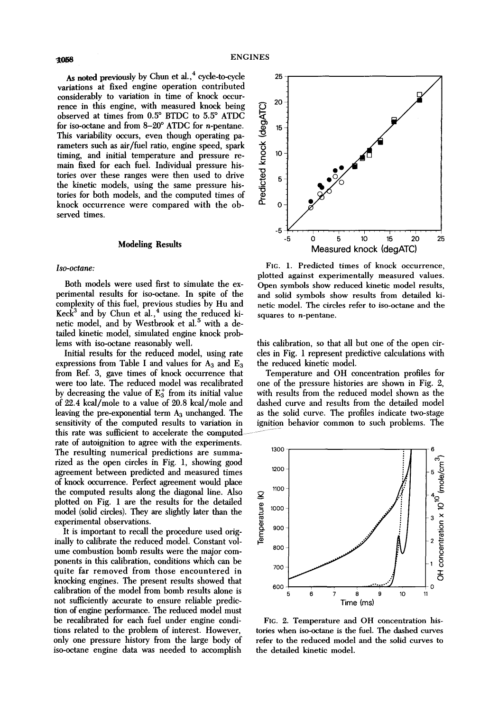As noted previously by Chun et al.,<sup>4</sup> cycle-to-cycle variations at fixed engine operation contributed considerably to variation in time of knock occurrence in this engine, with measured knock being observed at times from 0.5° BTDC to 5.5° ATDC for iso-octane and from  $8-20^{\circ}$  ATDC for *n*-pentane. This variability occurs, even though operating parameters such as air/fuel ratio, engine speed, spark timing, and initial temperature and pressure remain fixed for each fuel. Individual pressure histories over these ranges were then used to drive the kinetic models, using the same pressure histories for both models, and the computed times of knock occurrence were compared with the observed times.

### **Modeling Results**

#### *Iso-octane:*

Both models were used first to simulate the experimental results for iso-octane. In spite of the complexity of this fuel, previous studies by Hu and Keck<sup>3</sup> and by Chun et al.,<sup>4</sup> using the reduced kinetic model, and by Westbrook et al.<sup>5</sup> with a detailed kinetic model, simulated engine knock problems with iso-octane reasonably well,

Initial results for the reduced model, using rate expressions from Table I and values for  $A_3$  and  $E_3$ from Ref. 3, gave times of knock occurrence that were too late. The reduced model was recalibrated by decreasing the value of  $E_3^+$  from its initial value of 22.4 kcal/mole to a value of 20.8 kcal/mole and leaving the pre-exponential term  $A_3$  unchanged. The sensitivity of the computed results to variation in this rate was sufficient to accelerate the computed rate of autoignition to agree with the experiments. The resulting numerical predictions are summa- 1300 rized as the open circles in Fig. 1, showing good agreement between predicted and measured times 1200 of knock occurrence. Perfect agreement would place the computed results along the diagonal line. Also plotted on Fig. 1 are the results for the detailed model (solid circles). They are slightly later than the experimental observations.<br>It is important to recall the proced plotted on Fig. 1 are the results for the detailed model (solid circles). They are slightly later than the  $\frac{8}{5}$  <sup>1000</sup> experimental observations.

It is important to recall the procedure used orig- $\frac{8}{5}$   $\frac{900}{5}$ inally to calibrate the reduced model. Constant volume combustion bomb results were the major components in this calibration, conditions which can be quite far removed from those encountered in  $700$ knocking engines. The present results showed that calibration of the model from bomb results alone is <sup>600</sup> not sufficiently accurate to ensure reliable prediction of engine performance. The reduced model must be recalibrated for each fuel under engine conditions related to the problem of interest. However, only one pressure history from the large body of iso-octane engine data was needed to accomplish



FIG. 1. Predicted times of knock occurrence, plotted against experimentally measured values. Open symbols show reduced kinetic model results, and solid symbols show results from detailed kinetic model. The circles refer to iso-octane and the squares to  $n$ -pentane.

this calibration, so that all but one of the open circles in Fig. 1 represent predictive calculations with the reduced kinetic model.

Temperature and OH concentration profiles for one of the pressure histories are shown in Fig. 2, with results from the reduced model shown as the dashed curve and results from the detailed model as the solid curve. The profiles indicate two-stage ignition behavior common to such problems. The



FIG. 2. Temperature and OH concentration histories when iso-octane is the fuel. The dashed curves refer to the reduced model and the solid curves to the detailed kinetic model.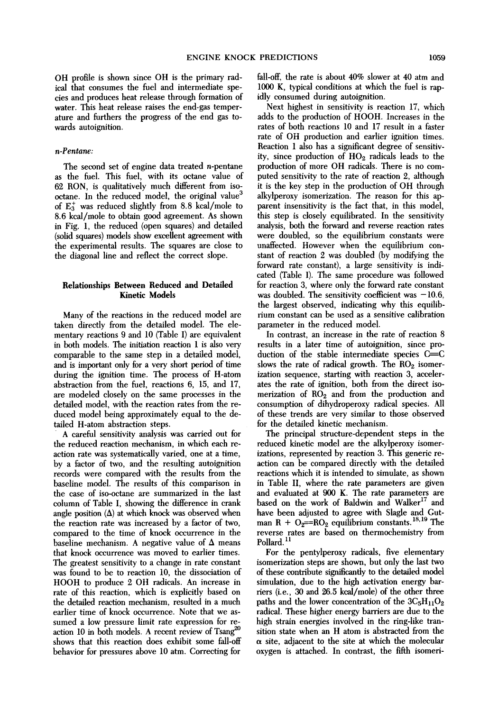OH profile is shown since OH is the primary radical that consumes the fuel and intermediate species and produces heat release through formation of water. This heat release raises the end-gas temperature and furthers the progress of the end gas towards autoignition.

#### *n-Pentane:*

The second set of engine data treated n-pentane as the fuel. This fuel, with its octane value of 62 RON, is qualitatively much different from isooctane. In the reduced model, the original value<sup>3</sup> of  $E_3^+$  was reduced slightly from 8.8 kcal/mole to 8.6 kcal/mole to obtain good agreement. As shown in Fig. 1, the reduced (open squares) and detailed (solid squares) models show excellent agreement with the experimental results. The squares are close to the diagonal line and reflect the correct slope.

## Relationships **Between Reduced and** Detailed Kinetic Models

Many of the reactions in the reduced model are taken directly from the detailed model. The elementary reactions 9 and 10 (Table I) are equivalent in both models. The initiation reaction 1 is also very comparable to the same step in a detailed model, and is important only for a very short period of time during the ignition time. The process of H-atom abstraction from the fuel, reactions 6, 15, and 17, are modeled closely on the same processes in the detailed model, with the reaction rates from the reduced model being approximately equal to the detailed H-atom abstraction steps.

A careful sensitivity analysis was carried out for the reduced reaction mechanism, in which each reaction rate was systematically varied, one at a time, by a factor of two, and the resulting autoignition records were compared with the results from the baseline model. The results of this comparison in the case of iso-octane are summarized in the last column of Table I, showing the difference in crank angle position  $(\Delta)$  at which knock was observed when the reaction rate was increased by a factor of two, compared to the time of knock occurrence in the baseline mechanism. A negative value of  $\Delta$  means that knock occurrence was moved to earlier times. The greatest sensitivity to a change in rate constant was found to be to reaction 10, the dissociation of HOOH to produce 2 OH radicals. An increase in rate of this reaction, which is explicitly based on the detailed reaction mechanism, resulted in a much earlier time of knock occurrence. Note that we assumed a low pressure limit rate expression for reaction 10 in both models. A recent review of Tsang<sup>20</sup> shows that this reaction does exhibit some fall-off behavior for pressures above 10 atm. Correcting for

fall-off, the rate is about 40% slower at 40 atm and 1000 K, typical conditions at which the fuel is rapidly consumed during autoignition.

Next highest in sensitivity is reaction 17, which adds to the production of HOOH. Increases in the rates of both reactions 10 and 17 result in a faster rate of OH production and earlier ignition times. Reaction 1 also has a significant degree of sensitivity, since production of  $HO<sub>2</sub>$  radicals leads to the production of more OH radicals. There is no computed sensitivity to the rate of reaction 2, although it is the key step in the production of OH through alkylperoxy isomerization. The reason for this apparent insensitivity is the fact that, in this model, this step is closely equilibrated. In the sensitivity analysis, both the forward and reverse reaction rates were doubled, so the equilibrium constants were unaffected. However when the equilibrium constant of reaction 2 was doubled (by modifying the forward rate constant), a large sensitivity is indicated (Table I). The same procedure was followed for reaction 3, where only the forward rate constant was doubled. The sensitivity coefficient was  $-10.6$ , the largest observed, indicating why this equilibrium constant can be used as a sensitive calibration parameter in the reduced model.

In contrast, an increase in the rate of reaction 8 results in a later time of autoignition, since production of the stable intermediate species  $C=$ slows the rate of radical growth. The  $RO<sub>2</sub>$  isomerization sequence, starting with reaction 3, accelerates the rate of ignition, both from the direct isomerization of  $RO<sub>2</sub>$  and from the production and consumption of dihydroperoxy radical species. All of these trends are very similar to those observed for the detailed kinetic mechanism.

The principal structure-dependent steps in the reduced kinetic model are the alkylperoxy isomerizations, represented by reaction 3. This generic reaction can be compared directly with the detailed reactions which it is intended to simulate, as shown in Table II, where the rate parameters are given and evaluated at 900 K. The rate parameters are based on the work of Baldwin and Walker<sup>17</sup> and have been adjusted to agree with Slagle and Gutman R +  $O_2$ =R $O_2$  equilibrium constants.<sup>18,19</sup> The reverse rates are based on thermochemistry from Pollard.<sup>11</sup>

For the pentylperoxy radicals, five elementary isomerization steps are shown, but only the last two of these contribute significantly to the detailed model simulation, due to the high activation energy bartiers (i.e., 30 and 26.5 kcal/mole) of the other three paths and the lower concentration of the  $3C_5H_{11}O_2$ radical. These higher energy barriers are due to the high strain energies involved in the ring-like transition state when an H atom is abstracted from the  $\alpha$  site, adjacent to the site at which the molecular oxygen is attached. In contrast, the fifth isomeri-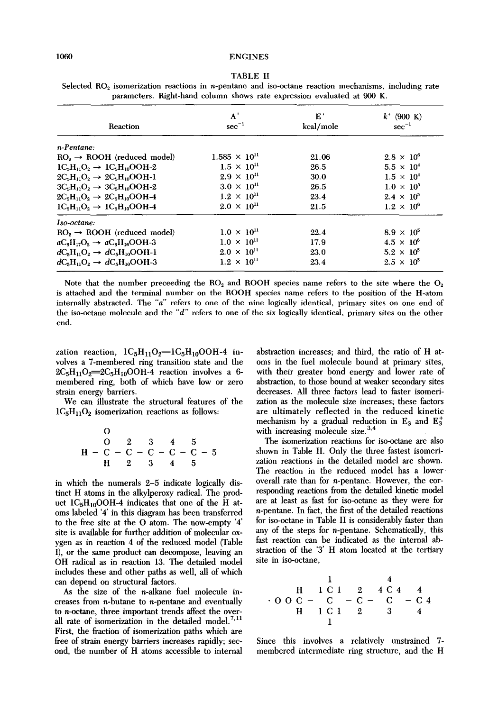| Reaction                                    | $A^+$<br>$sec^{-1}$    | $E^+$<br>kcal/mole | $k^+$ (900 K)<br>$sec^{-1}$ |
|---------------------------------------------|------------------------|--------------------|-----------------------------|
| n-Pentane:                                  |                        |                    |                             |
| $ROo \rightarrow ROOH$ (reduced model)      | $1.585 \times 10^{11}$ | 21.06              | $2.8 \times 10^{6}$         |
| $1C2H11O2 \rightarrow 1C5H10OOH-2$          | $1.5 \times 10^{11}$   | 26.5               | $5.5 \times 10^{4}$         |
| $2CsH11Os \rightarrow 2CsH10OOH-1$          | $2.9 \times 10^{11}$   | 30.0               | $1.5 \times 10^{4}$         |
| $3C_5H_{11}O_2 \rightarrow 3C_5H_{10}OOH-2$ | $3.0 \times 10^{11}$   | 26.5               | $1.0 \times 10^5$           |
| $2C_5H_{11}O_2 \rightarrow 2C_5H_{10}OOH-4$ | $1.2 \times 10^{11}$   | 23.4               | $2.4 \times 10^{5}$         |
| $1C_5H_{11}O_2 \rightarrow 1C_5H_{10}OOH-4$ | $2.0 \times 10^{11}$   | 21.5               | $1.2 \times 10^{6}$         |
| Iso-octane:                                 |                        |                    |                             |
| $RO2 \rightarrow ROOH$ (reduced model)      | $1.0 \times 10^{11}$   | 22.4               | $8.9 \times 10^5$           |
| $aCsH17O2 \rightarrow aCsH16OOH-3$          | $1.0 \times 10^{11}$   | 17.9               | $4.5 \times 10^{6}$         |
| $dC_5H_1O_2 \rightarrow dC_5H_{10}OOH-1$    | $2.0 \times 10^{11}$   | 23.0               | $5.2 \times 10^5$           |
| $dC_5H_1O_2 \rightarrow dC_5H_{10}OOH-3$    | $1.2 \times 10^{11}$   | 23.4               | $2.5 \times 10^5$           |

| <b>TABLE II</b>                                                                                                          |  |  |  |  |  |  |  |  |  |  |
|--------------------------------------------------------------------------------------------------------------------------|--|--|--|--|--|--|--|--|--|--|
| Selected RO <sub>2</sub> isomerization reactions in <i>n</i> -pentane and iso-octane reaction mechanisms, including rate |  |  |  |  |  |  |  |  |  |  |
| parameters. Right-hand column shows rate expression evaluated at 900 K.                                                  |  |  |  |  |  |  |  |  |  |  |

Note that the number preceeding the  $RO<sub>2</sub>$  and ROOH species name refers to the site where the  $O<sub>2</sub>$ is attached and the terminal number on the ROOH species name refers to the position of the H-atom internally abstracted. The "a" refers to one of the nine logically identical, primary sites on one end of the iso-octane molecule and the "d" refers to one of the six logically identical, primary sites on the other end.

zation reaction,  $1C_5H_{11}O_2=1C_5H_{10}OOH-4$  involves a 7-membered ring transition state and the  $2C_5H_{11}O_2=2C_5H_{10}OOH-4$  reaction involves a 6membered ring, both of which have low or zero strain energy barriers.

We can illustrate the structural features of the  $1C_5H_{11}O_2$  isomerization reactions as follows:

O  
\n
$$
O = 2 \t 3 \t 4 \t 5
$$
\n
$$
H - C - C - C - C - C - 5
$$
\n
$$
H = 2 \t 3 \t 4 \t 5
$$

in which the numerals 2-5 indicate logically distinct H atoms in the alkylperoxy radical. The product  $1C_5H_{10}OOH-4$  indicates that one of the H atoms labeled '4' in this diagram has been transferred to the free site at the O atom. The now-empty "4' site is available for further addition of molecular oxygen as in reaction 4 of the reduced model (Table I), or the same product can decompose, leaving an OH radical as in reaction 13. The detailed model includes these and other paths as well, all of which can depend on structural factors.

As the size of the n-alkane fuel molecule increases from n-butane to n-pentane and eventually to n-octane, three important trends affect the overall rate of isomerization in the detailed model.<sup>7,11</sup> First, the fraction of isomerization paths which are free of strain energy barriers increases rapidly; second, the number of H atoms accessible to internal

abstraction increases; and third, the ratio of H atoms in the fuel molecule bound at primary sites, with their greater bond energy and lower rate of abstraction, to those bound at weaker secondary sites decreases. All three factors lead to faster isomerization as the molecule size increases; these factors are ultimately reflected in the reduced kinetic mechanism by a gradual reduction in  $E_3$  and  $E_3^+$ with increasing molecule size. $3,4$ 

The isomerization reactions for iso-octane are also shown in Table II. Only the three fastest isomerization reactions in the detailed model are shown. The reaction in the reduced model has a lower overall rate than for n-pentane. However, the corresponding reactions from the detailed kinetic model are at least as fast for iso-octane as they were for n-pentane. In fact, the first of the detailed reactions for iso-octane in Table II is considerably faster than any of the steps for n-pentane. Schematically, this fast reaction can be indicated as the internal abstraction of the '3' H atom located at the tertiary site in iso-octane,

$$
\begin{array}{ccccccccc}\n & & & & & & 1 & & 4 \\
 & & H & 1 & C & 1 & 2 & 4 & C & 4 & 4 \\
\cdot & O & O & C & - & C & - & C & - & C & - & C & 4 \\
 & & H & 1 & C & 1 & 2 & 3 & 4 & 4 \\
 & & & & & & & 1\n\end{array}
$$

Since this involves a relatively unstrained 7 membered intermediate ring structure, and the H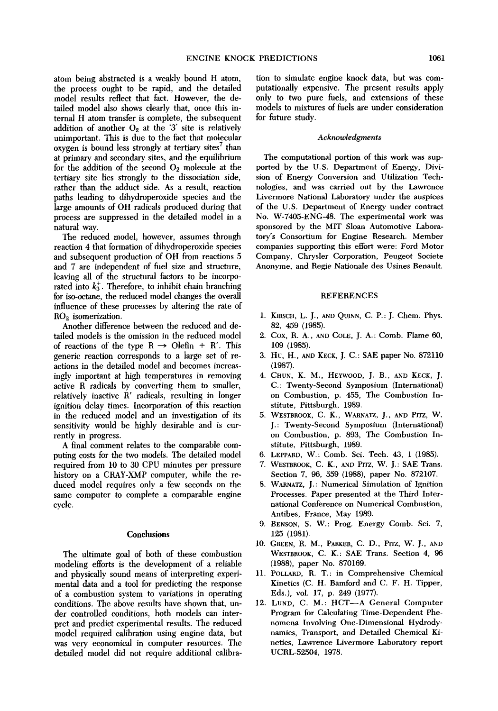atom being abstracted is a weakly bound H atom, the process ought to be rapid, and the detailed model results reflect that fact. However, the detailed model also shows clearly that, once this internal H atom transfer is complete, the subsequent addition of another  $O_2$  at the '3' site is relatively unimportant. This is due to the fact that molecular oxygen is bound less strongly at tertiary sites<sup>7</sup> than at primary and secondary sites, and the equilibrium for the addition of the second  $O_2$  molecule at the tertiary site lies strongly to the dissociation side, rather than the adduct side. As a result, reaction paths leading to dihydroperoxide species and the large amounts of OH radicals produced during that process are suppressed in the detailed model in a natural way.

The reduced model, however, assumes through reaction 4 that formation of dihydroperoxide species and subsequent production of OH from reactions 5 and 7 are independent of fuel size and structure, leaving all of the structural factors to be incorporated into  $k_3^+$ . Therefore, to inhibit chain branching for iso-octane, the reduced model changes the overall influence of these processes by altering the rate of  $RO<sub>2</sub>$  isomerization.

Another difference between the reduced and detailed models is the omission in the reduced model of reactions of the type  $R \rightarrow$  Olefin + R'. This generic reaction corresponds to a large set of reactions in the detailed model and becomes increasingly important at high temperatures in removing active R radicals by converting them to smaller, relatively inactive R' radicals, resulting in longer ignition delay times. Incorporation of this reaction in the reduced model and an investigation of its sensitivity would be highly desirable and is currently in progress.

A final comment relates to the comparable computing costs for the two models. The detailed model required from 10 to 30 CPU minutes per pressure history on a CRAY-XMP computer, while the reduced model requires only a few seconds on the same computer to complete a comparable engine cycle.

#### **Conclusions**

The ultimate goal of both of these combustion modeling efforts is the development of a reliable and physically sound means of interpreting experimental data and a tool for predicting the response of a combustion system to variations in operating conditions. The above results have shown that, under controlled conditions, both models can interpret and predict experimental results. The reduced model required calibration using engine data, but was very economical in computer resources. The detailed model did not require additional calibration to simulate engine knock data, but was computationally expensive. The present results apply only to two pure fuels, and extensions of these models to mixtures of fuels are under consideration for future study.

#### *Acknowledgments*

The computational portion of this work was supported by the U.S, Department of Energy, Division of Energy Conversion and Utilization Technologies, and was carried out by the Lawrence Livermore National Laboratory under the auspices of the U.S. Department of Energy under contract No. W-7405-ENG-48. The experimental work was sponsored by the MIT Sloan Automotive Laboratory's Consortium for Engine Research. Member companies supporting this effort were: Ford Motor Company, Chrysler Corporation, Peugeot Societe Anonyme, and Regie Nationale des Usines Renault.

#### **REFERENCES**

- 1. KIRSCH, L. J., AND QUINN, C. P.: J. Chem. Phys. 82, 459 (1985).
- 2. Cox, R. A., AND COLE, J. A.: Comb. Flame 60, 109 (1985).
- 3. Hu, H., AND KECK, J. c.: SAE paper No. 872110 (1987).
- 4. CHUN, K. M., HEYWOOD, J. B., AND KECK, J. C.: Twenty-Second Symposium (International) on Combustion, p. 455, The Combustion Institute, Pittshurgh, 1989.
- 5. WESTBROOK, C. K., WARNATZ, J., AND PITZ, W. J.: Twenty-Second Symposium (International) on Combustion, p. 893, The Combustion Institute, Pittsburgh, 1989.
- 6. LEPPARD, W.: Comb. Sci. Teeh. 43, 1 (1985).
- 7. WESTBROOK, C. K., AND PITZ, W. J.: SAE Trans. Section 7, 96, 559 (1988), paper No. 872107.
- 8. WARNATZ, J.: Numerical Simulation of Ignition Processes. Paper presented at the Third International Conference on Numerical Combustion, Antibes, France, May 1989.
- 9, BENSON, S. W.: Prog. Energy Comb. Sei. 7, 125 (1981).
- 10. GREEN, R. M., PARKER, C. D., Prrz, W. J., AND WESTBROOK, C. K.: SAE Trans. Section 4, 96 (1988), paper No. 870169.
- 11. POLLARD, R. T.: in Comprehensive Chemical Kinetics (C. H. Bamford and C. F. H. Tipper, Eds.), vol. 17, p. 249 (1977).
- 12. LUND, C. M.: HCT--A General Computer Program for Calculating Time-Dependent Phenomena Involving One-Dimensional Hydrodynamics, Transport, and Detailed Chemical Kinetics, Lawrence Livermore Laboratory report UCRL-52504, 1978.